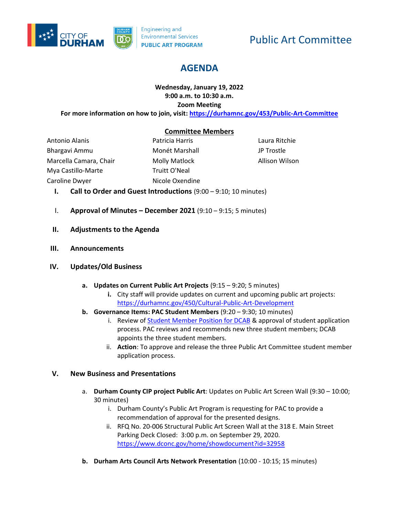

# Public Art Committee

# **AGENDA**

# **Wednesday, January 19, 2022 9:00 a.m. to 10:30 a.m. Zoom Meeting**

**For more information on how to join, visit[: https://durhamnc.gov/453/Public-Art-Committee](https://durhamnc.gov/453/Public-Art-Committee)**

#### **Committee Members**

Antonio Alanis Bhargavi Ammu Marcella Camara, Chair Mya Castillo-Marte Caroline Dwyer

Patricia Harris Monét Marshall Molly Matlock Truitt O'Neal Nicole Oxendine Laura Ritchie JP Trostle Allison Wilson

- **I. Call to Order and Guest Introductions** (9:00 9:10; 10 minutes)
- I. **Approval of Minutes – December 2021** (9:10 9:15; 5 minutes)
- **II. Adjustments to the Agenda**
- **III. Announcements**

#### **IV. Updates/Old Business**

- **a. Updates on Current Public Art Projects** (9:15 9:20; 5 minutes)
	- **i.** City staff will provide updates on current and upcoming public art projects: <https://durhamnc.gov/450/Cultural-Public-Art-Development>
- **b. Governance Items: PAC Student Members** (9:20 9:30; 10 minutes)
	- i. Review of **Student Member Position for DCAB** & approval of student application process. PAC reviews and recommends new three student members; DCAB appoints the three student members.
	- ii. **Action**: To approve and release the three Public Art Committee student member application process.

#### **V. New Business and Presentations**

- a. **Durham County CIP project Public Art**: Updates on Public Art Screen Wall (9:30 10:00; 30 minutes)
	- i. Durham County's Public Art Program is requesting for PAC to provide a recommendation of approval for the presented designs.
	- ii. RFQ No. 20-006 Structural Public Art Screen Wall at the 318 E. Main Street Parking Deck Closed: 3:00 p.m. on September 29, 2020. <https://www.dconc.gov/home/showdocument?id=32958>
- **b. Durham Arts Council Arts Network Presentation** (10:00 10:15; 15 minutes)